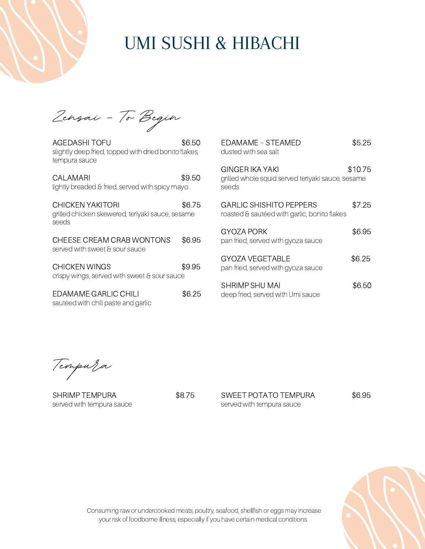

# UMI SUSHI & HIBACHI

**Zensai - To Begin**

AGEDASHI TOFU \$6.50 slightly deep fried, topped with dried bonito flakes, tempura sauce

| CAI AMARI<br>lightly breaded & fried, served with spicy mayo                  | \$9.50 |
|-------------------------------------------------------------------------------|--------|
| CHICKEN YAKITORI<br>grilled chicken skewered, teriyaki sauce, sesame<br>seeds | \$6.75 |
| CHEESE CREAM CRAB WONTONS<br>served with sweet & sour sauce                   | \$6.95 |
| CHICKEN WINGS<br>crispy wings, served with sweet & sour sauce                 | \$9.95 |

EDAMAME GARLIC CHILI \$6.25 sautéed with chili paste and garlic

| FDAMAMF – STFAMFD<br>dusted with sea salt                                      | \$5.25  |
|--------------------------------------------------------------------------------|---------|
| GINGER IKA YAKI<br>grilled whole squid served teriyaki sauce, sesame<br>seeds  | \$10.75 |
| <b>GARLIC SHISHITO PEPPERS</b><br>roasted & sautéed with garlic, bonito flakes | \$7.25  |
| GYOZA PORK<br>pan fried, served with gyoza sauce                               | \$6.95  |
| <b>GYOZA VEGETABLE</b><br>pan fried, served with gyoza sauce                   | \$6.25  |
| SHRIMP SHU MAI<br>deep fried, served with Umi sauce                            | \$6.50  |

**Tempura**

SHRIMP TEMPURA  $$8.75$ served with tempura sauce

SWEET POTATO TEMPURA \$6.95 served with tempura sauce



Consuming raw or undercooked meats, poultry, seafood, shellfish or eggs may increase your risk of foodborne illness, especially if you have certain medical conditions.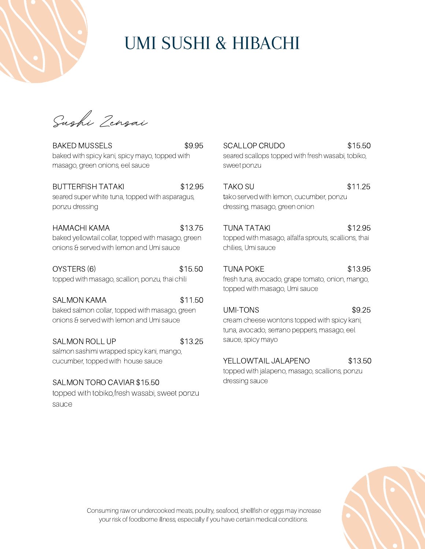

# UMI SUSHI & HIBACHI

**Sushi Zensai**

BAKED MUSSELS \$9.95 baked with spicy kani, spicy mayo, topped with masago, green onions, eel sauce

#### BUTTERFISH TATAKI \$12.95

seared super white tuna, topped with asparagus, ponzu dressing

### HAMACHI KAMA \$13.75

baked yellowtail collar, topped with masago, green onions & served with lemon and Umi sauce

OYSTERS (6) \$15.50 topped with masago, scallion, ponzu, thai chili

SALMON KAMA \$11.50 baked salmon collar, topped with masago, green onions & served with lemon and Umi sauce

SALMON ROLL UP \$13.25

salmon sashimi wrapped spicy kani, mango, cucumber, topped with house sauce

### SALMON TORO CAVIAR \$15.50

topped with tobiko,fresh wasabi, sweet ponzu sauce

SCALLOP CRUDO \$15.50 seared scallops topped with fresh wasabi, tobiko, sweet ponzu

TAKO SU \$11.25 tako served with lemon, cucumber, ponzu dressing, masago, green onion

## TUNA TATAKI \$12.95

topped with masago, alfalfa sprouts, scallions, thai chilies, Umi sauce

## TUNA POKE \$13.95

fresh tuna, avocado, grape tomato, onion, mango, topped with masago, Umi sauce

## UMI-TONS \$9.25

cream cheese wontons topped with spicy kani, tuna, avocado, serrano peppers, masago, eel sauce, spicy mayo

### YELLOWTAIL JALAPENO \$13.50

topped with jalapeno, masago, scallions, ponzu dressing sauce



Consuming raw or undercooked meats, poultry, seafood, shellfish or eggs may increase your risk of foodborne illness, especially if you have certain medical conditions.